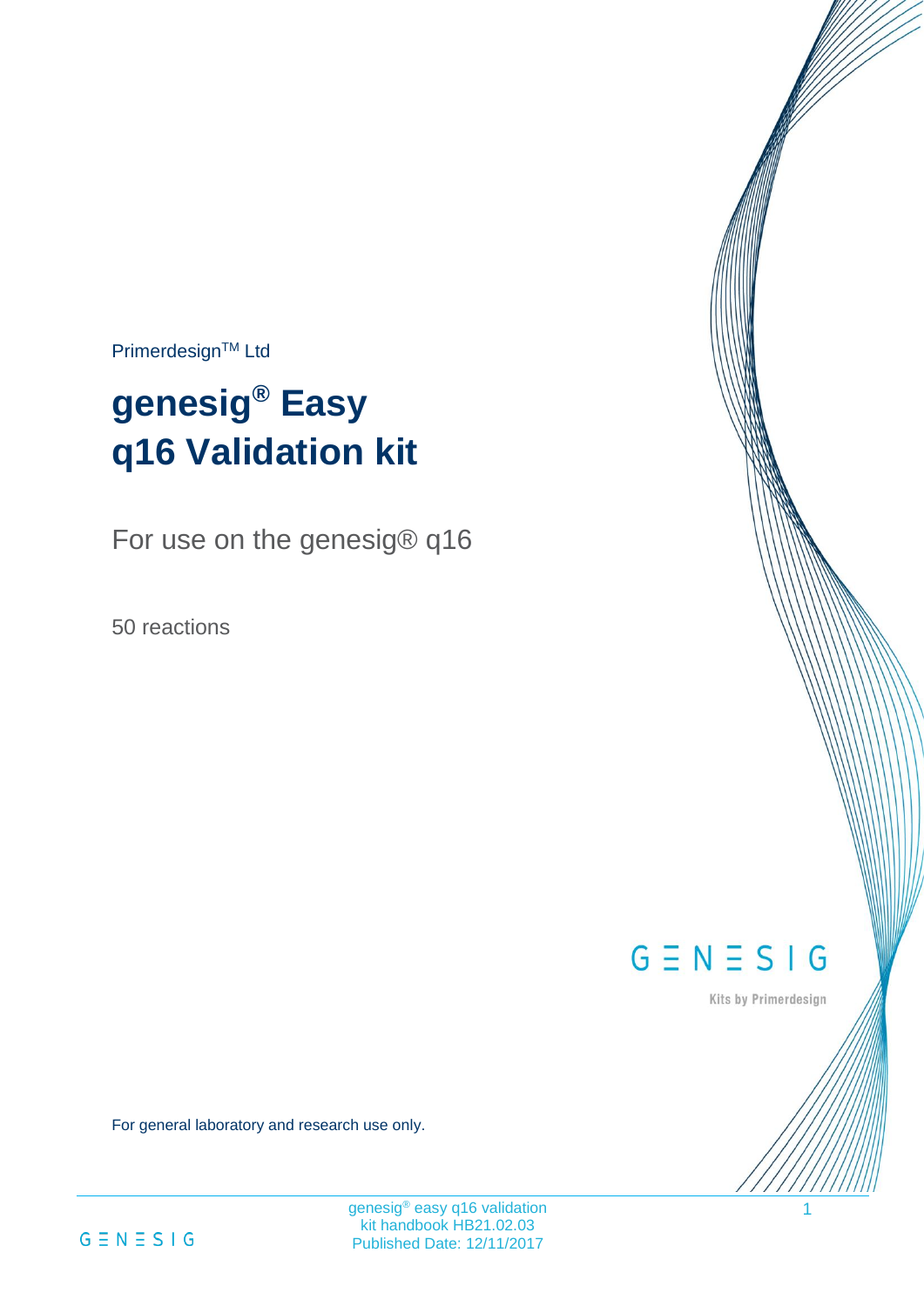Primerdesign™ Ltd

# **genesig® Easy q16 Validation kit**

For use on the genesig® q16

50 reactions

 $G \equiv N \equiv S \mid G$ 

Kits by Primerdesign

1

For general laboratory and research use only.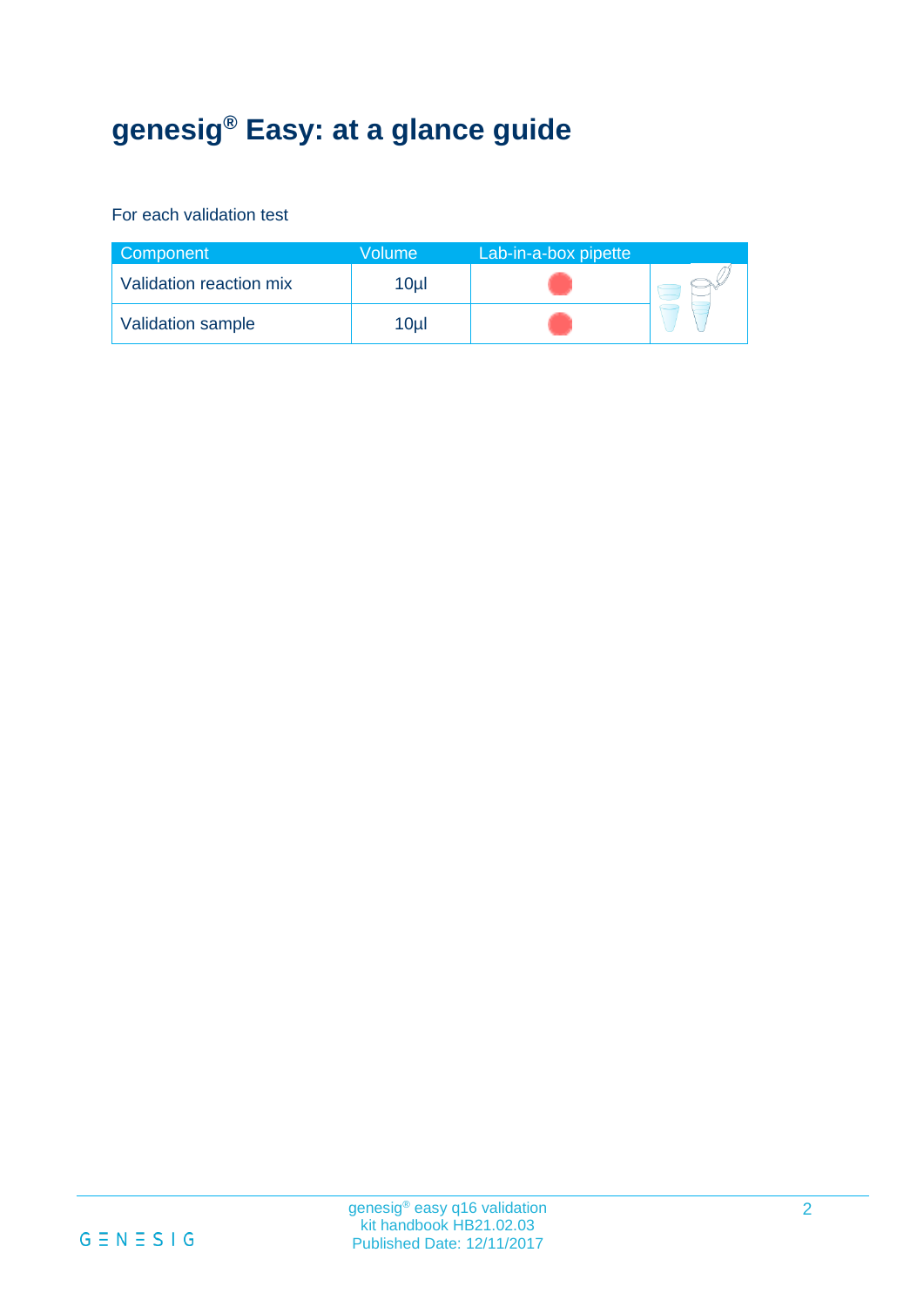# **genesig® Easy: at a glance guide**

#### For each validation test

| Component               | Volume'         | Lab-in-a-box pipette |  |
|-------------------------|-----------------|----------------------|--|
| Validation reaction mix | 10 <sub>µ</sub> |                      |  |
| Validation sample       | 10ul            |                      |  |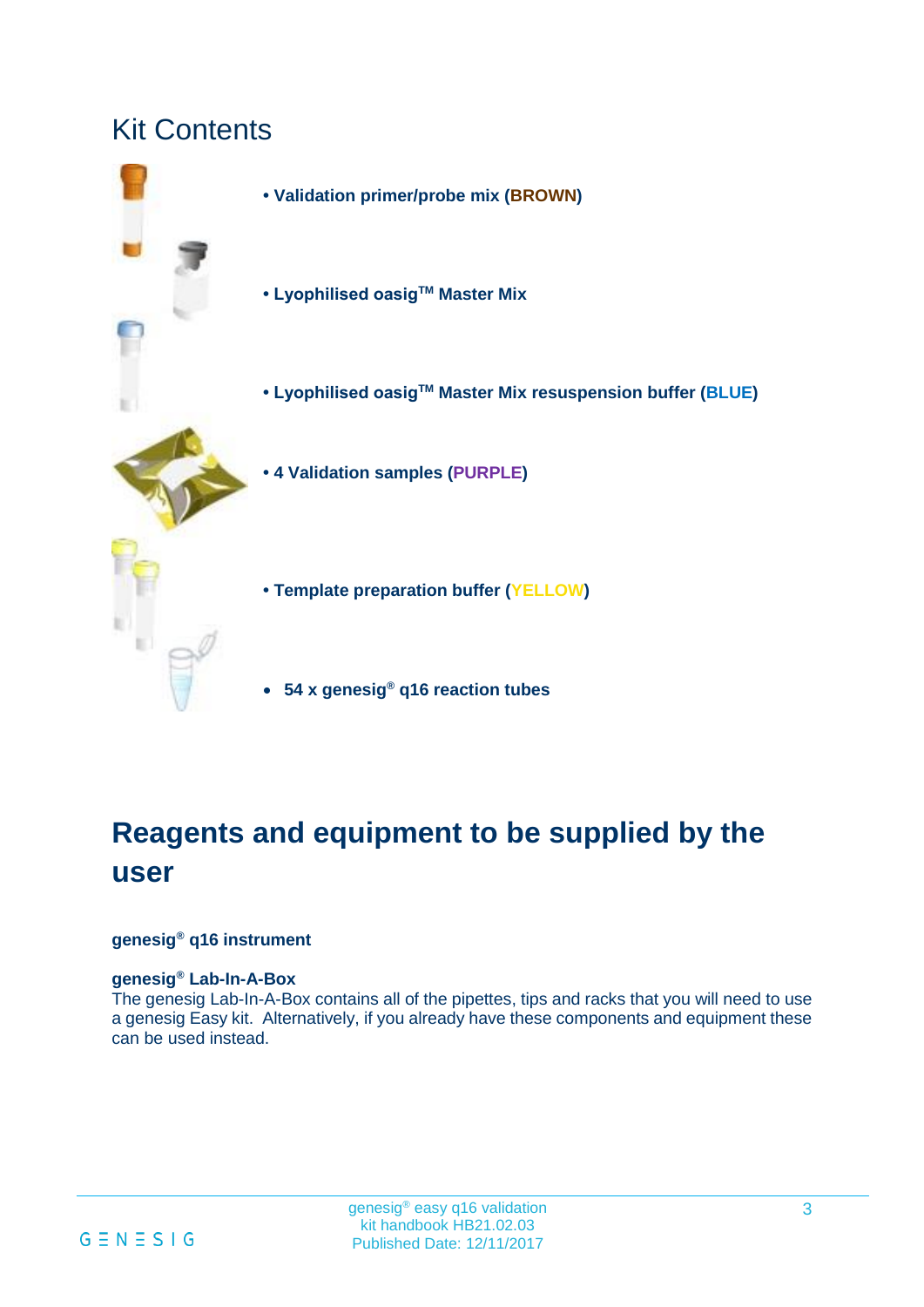### Kit Contents

- **Validation primer/probe mix (BROWN) • Lyophilised oasigTM Master Mix • Lyophilised oasigTM Master Mix resuspension buffer (BLUE) • 4 Validation samples (PURPLE) • Template preparation buffer (YELLOW)**
	- **54 x genesig® q16 reaction tubes**

# **Reagents and equipment to be supplied by the user**

#### **genesig® q16 instrument**

#### **genesig® Lab-In-A-Box**

The genesig Lab-In-A-Box contains all of the pipettes, tips and racks that you will need to use a genesig Easy kit. Alternatively, if you already have these components and equipment these can be used instead.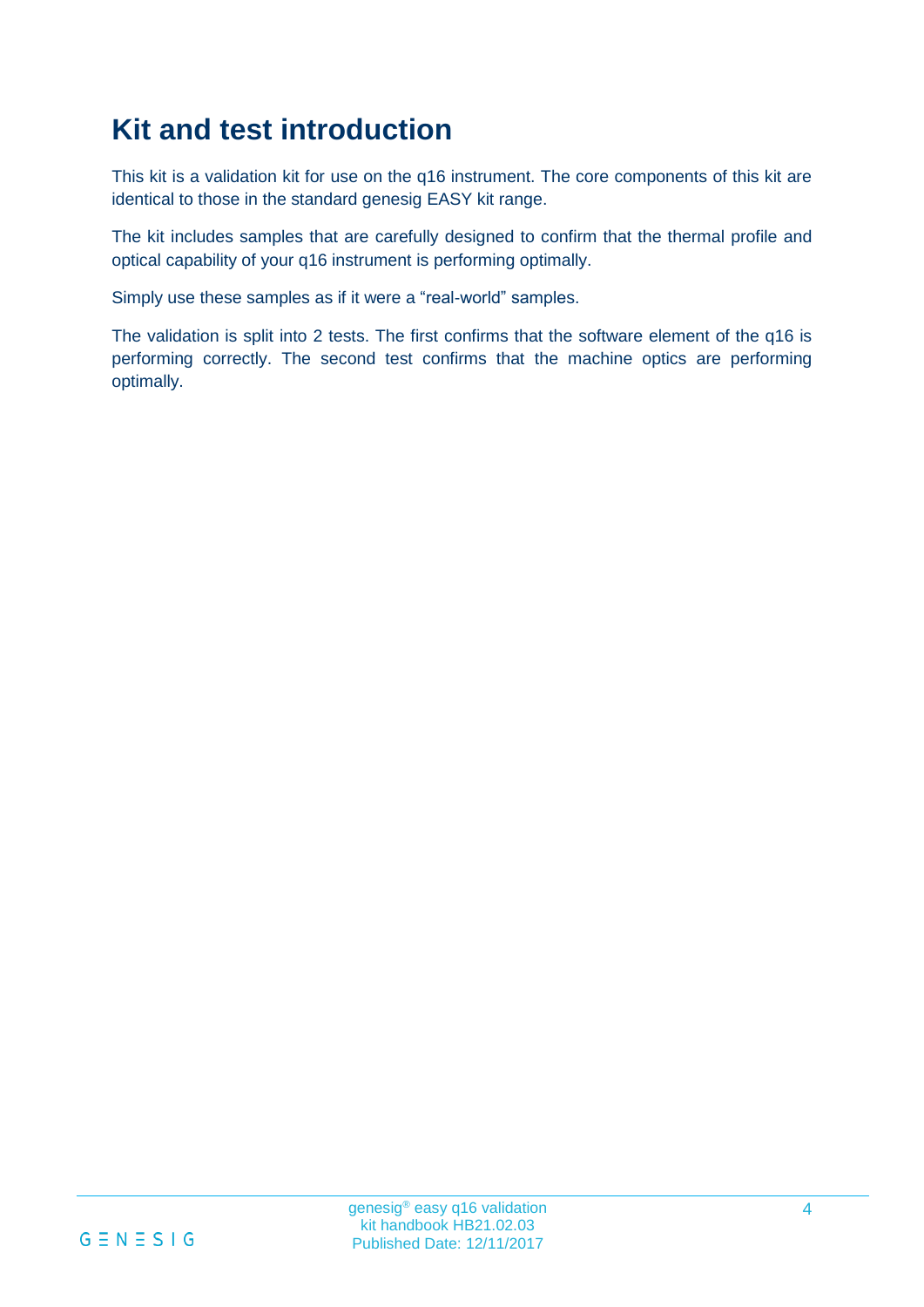# **Kit and test introduction**

This kit is a validation kit for use on the q16 instrument. The core components of this kit are identical to those in the standard genesig EASY kit range.

The kit includes samples that are carefully designed to confirm that the thermal profile and optical capability of your q16 instrument is performing optimally.

Simply use these samples as if it were a "real-world" samples.

The validation is split into 2 tests. The first confirms that the software element of the q16 is performing correctly. The second test confirms that the machine optics are performing optimally.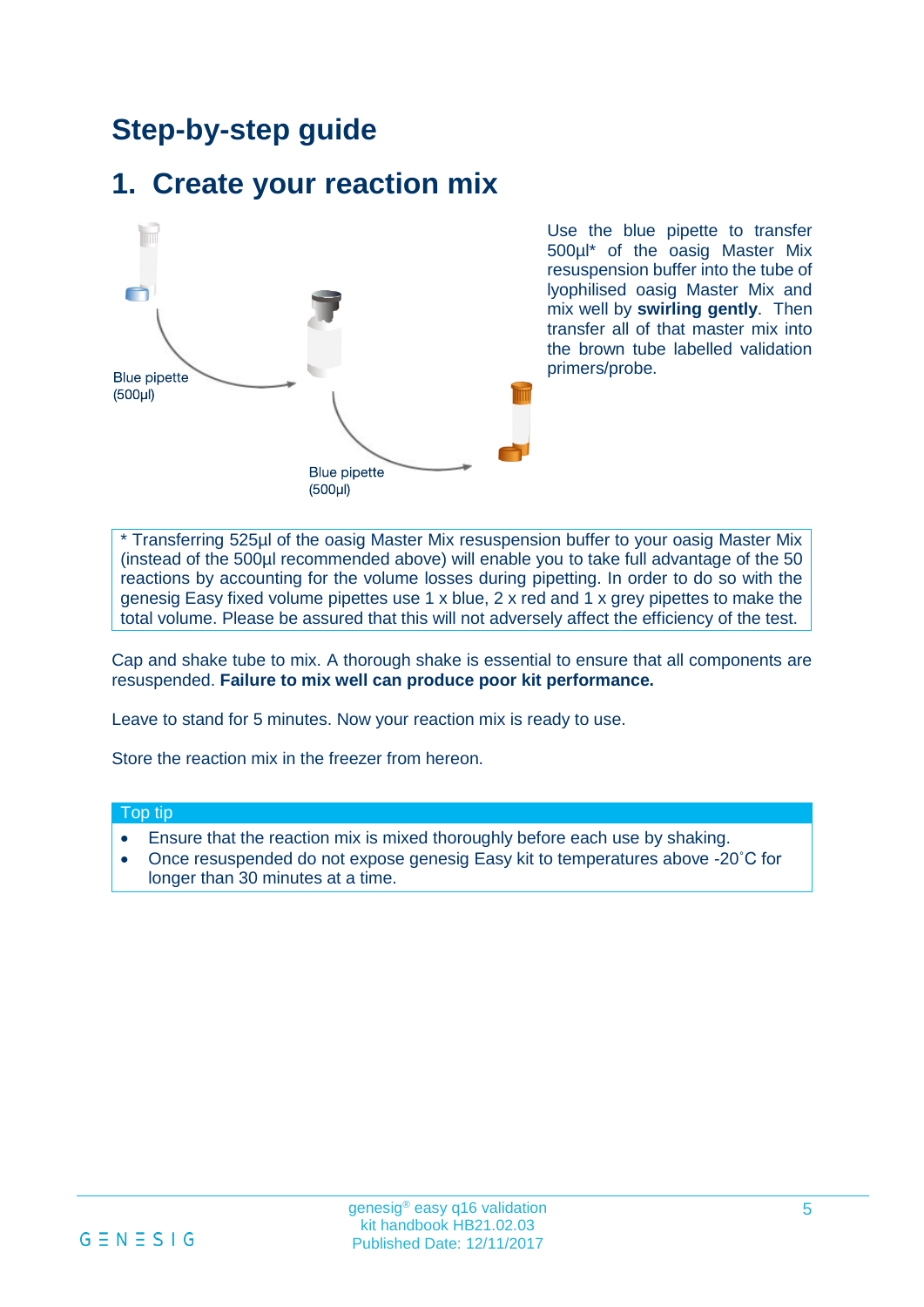### **Step-by-step guide**

### **1. Create your reaction mix**



Use the blue pipette to transfer 500µl\* of the oasig Master Mix resuspension buffer into the tube of lyophilised oasig Master Mix and mix well by **swirling gently**. Then transfer all of that master mix into the brown tube labelled validation primers/probe.

\* Transferring 525µl of the oasig Master Mix resuspension buffer to your oasig Master Mix (instead of the 500µl recommended above) will enable you to take full advantage of the 50 reactions by accounting for the volume losses during pipetting. In order to do so with the genesig Easy fixed volume pipettes use 1 x blue, 2 x red and 1 x grey pipettes to make the total volume. Please be assured that this will not adversely affect the efficiency of the test.

Cap and shake tube to mix. A thorough shake is essential to ensure that all components are resuspended. **Failure to mix well can produce poor kit performance.**

Leave to stand for 5 minutes. Now your reaction mix is ready to use.

Store the reaction mix in the freezer from hereon.

#### Top tip

- Ensure that the reaction mix is mixed thoroughly before each use by shaking.
- Once resuspended do not expose genesig Easy kit to temperatures above -20˚C for longer than 30 minutes at a time.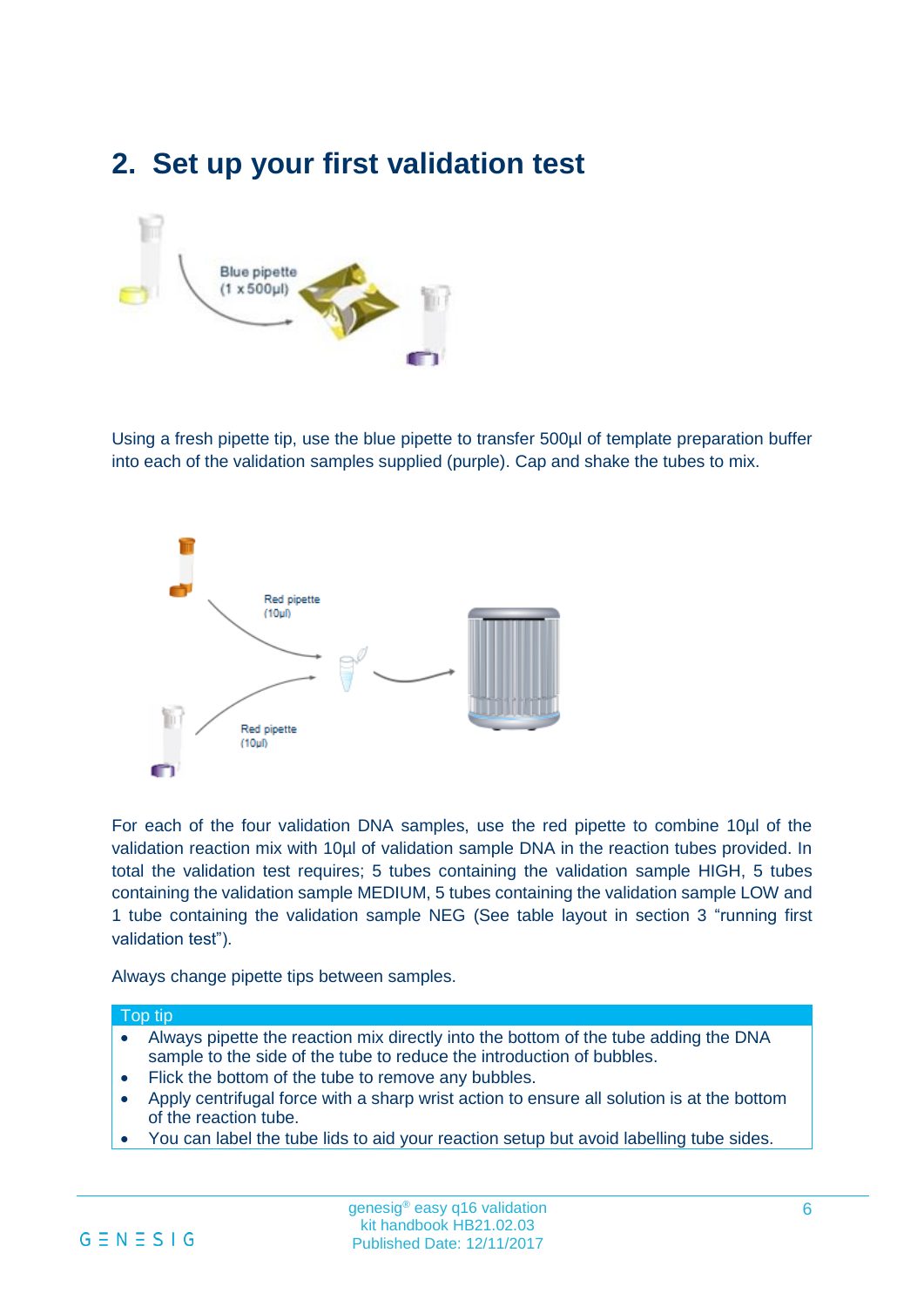### **2. Set up your first validation test**



Using a fresh pipette tip, use the blue pipette to transfer 500µl of template preparation buffer into each of the validation samples supplied (purple). Cap and shake the tubes to mix.



For each of the four validation DNA samples, use the red pipette to combine 10µl of the validation reaction mix with 10µl of validation sample DNA in the reaction tubes provided. In total the validation test requires; 5 tubes containing the validation sample HIGH, 5 tubes containing the validation sample MEDIUM, 5 tubes containing the validation sample LOW and 1 tube containing the validation sample NEG (See table layout in section 3 "running first validation test").

Always change pipette tips between samples.

#### Top tip

- Always pipette the reaction mix directly into the bottom of the tube adding the DNA sample to the side of the tube to reduce the introduction of bubbles.
- Flick the bottom of the tube to remove any bubbles.
- Apply centrifugal force with a sharp wrist action to ensure all solution is at the bottom of the reaction tube.
- You can label the tube lids to aid your reaction setup but avoid labelling tube sides.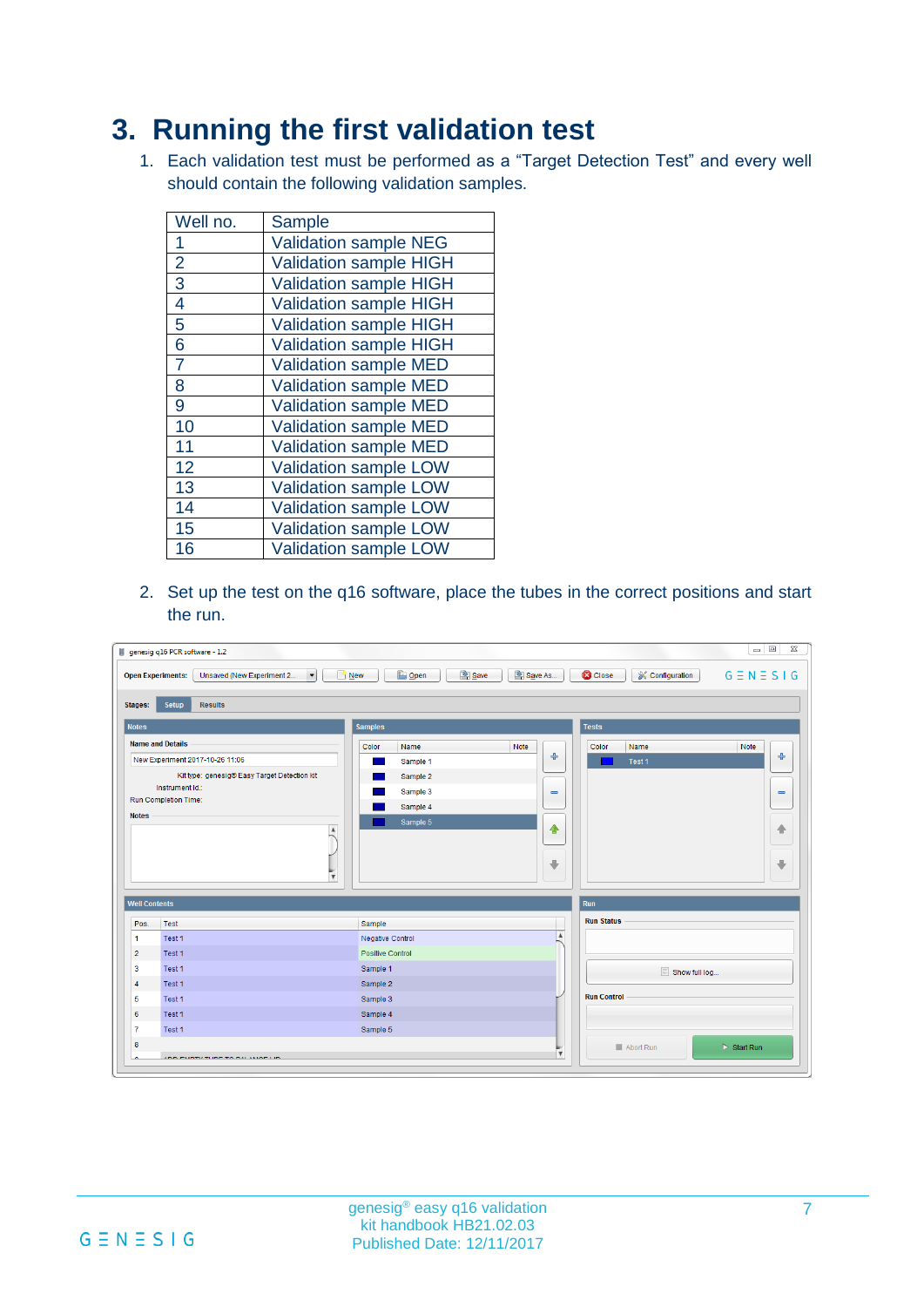### **3. Running the first validation test**

1. Each validation test must be performed as a "Target Detection Test" and every well should contain the following validation samples.

| Well no.       | <b>Sample</b>                 |
|----------------|-------------------------------|
| 1              | <b>Validation sample NEG</b>  |
| $\overline{2}$ | <b>Validation sample HIGH</b> |
| 3              | <b>Validation sample HIGH</b> |
| 4              | <b>Validation sample HIGH</b> |
| 5              | Validation sample HIGH        |
| 6              | <b>Validation sample HIGH</b> |
| $\overline{7}$ | <b>Validation sample MED</b>  |
| 8              | <b>Validation sample MED</b>  |
| 9              | <b>Validation sample MED</b>  |
| 10             | <b>Validation sample MED</b>  |
| 11             | <b>Validation sample MED</b>  |
| 12             | <b>Validation sample LOW</b>  |
| 13             | <b>Validation sample LOW</b>  |
| 14             | <b>Validation sample LOW</b>  |
| 15             | <b>Validation sample LOW</b>  |
| 16             | Validation sample LOW         |

2. Set up the test on the q16 software, place the tubes in the correct positions and start the run.

|                                                                                                          | Unsaved (New Experiment 2<br><b>Open Experiments:</b><br>$\overline{\phantom{a}}$ | <b>B</b> Open<br>Save<br>$\Box$ New                | Save As                      | <b>C</b> Close<br>& Configuration | $G \equiv N \equiv S \mid G$ |
|----------------------------------------------------------------------------------------------------------|-----------------------------------------------------------------------------------|----------------------------------------------------|------------------------------|-----------------------------------|------------------------------|
| <b>Stages:</b>                                                                                           | <b>Setup</b><br><b>Results</b>                                                    |                                                    |                              |                                   |                              |
| <b>Notes</b>                                                                                             |                                                                                   | <b>Samples</b>                                     |                              | <b>Tests</b>                      |                              |
|                                                                                                          | <b>Name and Details</b>                                                           | Color<br>Name                                      | Note                         | Color<br>Name                     | Note                         |
|                                                                                                          | New Experiment 2017-10-26 11:06                                                   | Sample 1                                           | $\ddot{\text{}}$             | Test 1                            | ÷                            |
|                                                                                                          | Kit type: genesig® Easy Target Detection kit                                      | Sample 2                                           |                              |                                   |                              |
|                                                                                                          | Instrument Id.:                                                                   | Sample 3                                           | $\qquad \qquad \blacksquare$ |                                   | $\qquad \qquad \blacksquare$ |
|                                                                                                          | <b>Run Completion Time:</b>                                                       | Sample 4                                           |                              |                                   |                              |
| <b>Notes</b>                                                                                             |                                                                                   | Sample 5                                           |                              |                                   |                              |
|                                                                                                          | A                                                                                 |                                                    | ♦                            |                                   | ♠                            |
|                                                                                                          |                                                                                   |                                                    |                              |                                   |                              |
|                                                                                                          |                                                                                   |                                                    |                              |                                   |                              |
|                                                                                                          |                                                                                   |                                                    | $\overline{\phantom{a}}$     |                                   |                              |
|                                                                                                          | $\overline{\mathbf{v}}$                                                           |                                                    |                              |                                   |                              |
|                                                                                                          |                                                                                   |                                                    |                              |                                   |                              |
|                                                                                                          |                                                                                   |                                                    |                              | Run<br><b>Run Status</b>          |                              |
|                                                                                                          | <b>Test</b><br>Test 1                                                             | Sample                                             | $\blacktriangle$             |                                   |                              |
|                                                                                                          | Test 1                                                                            | <b>Negative Control</b><br><b>Positive Control</b> |                              |                                   |                              |
|                                                                                                          | Test 1                                                                            | Sample 1                                           |                              |                                   |                              |
|                                                                                                          | Test 1                                                                            | Sample 2                                           |                              | Show full log                     |                              |
|                                                                                                          | Test 1                                                                            | Sample 3                                           |                              | <b>Run Control</b>                | ÷                            |
| <b>Well Contents</b><br>Pos.<br>$\mathbf{1}$<br>$\overline{2}$<br>$\overline{\mathbf{3}}$<br>4<br>5<br>6 | Test 1                                                                            | Sample 4                                           |                              |                                   |                              |
| $\overline{7}$                                                                                           | Test 1                                                                            | Sample 5                                           |                              |                                   |                              |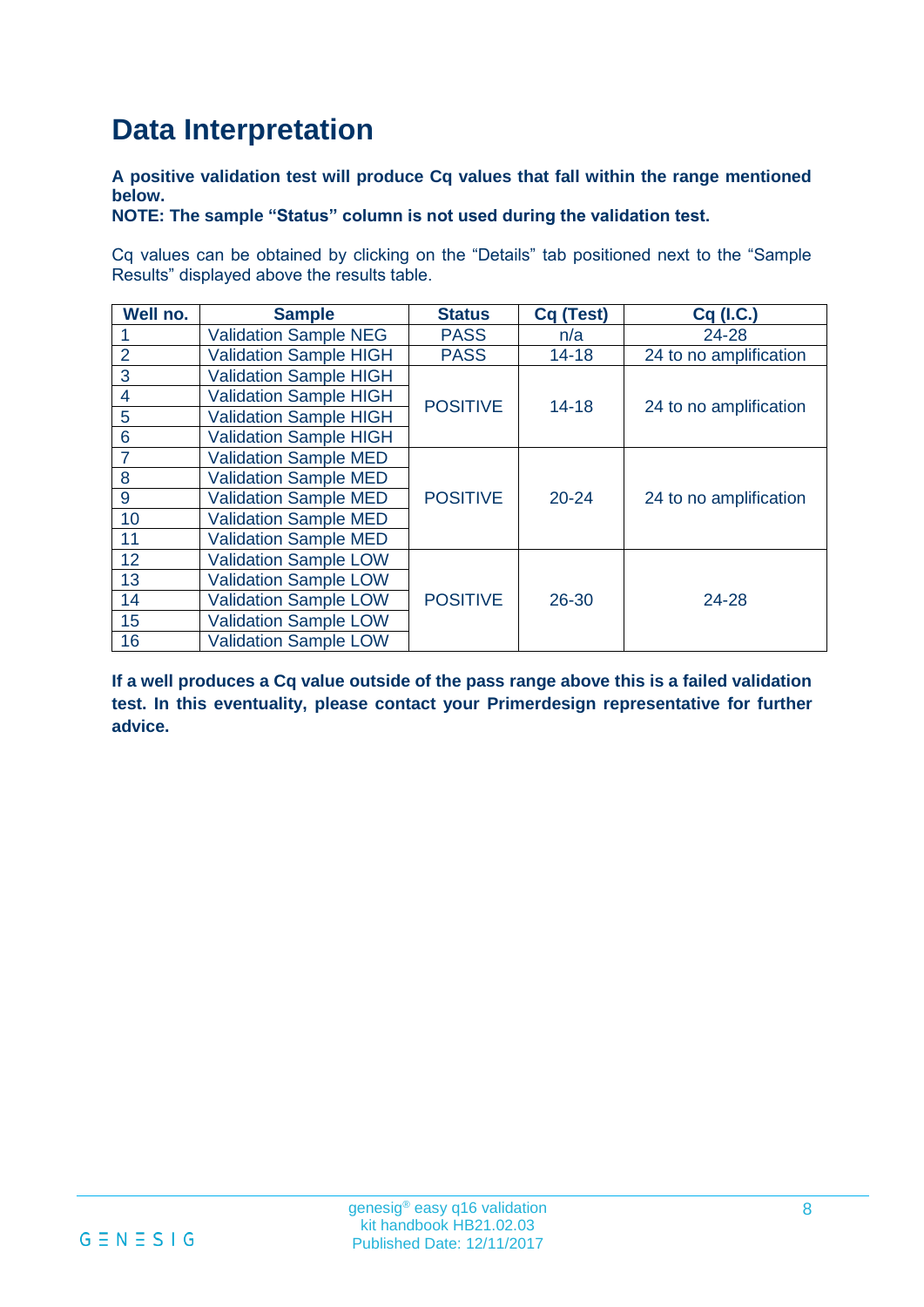# **Data Interpretation**

#### **A positive validation test will produce Cq values that fall within the range mentioned below.**

#### **NOTE: The sample "Status" column is not used during the validation test.**

Cq values can be obtained by clicking on the "Details" tab positioned next to the "Sample Results" displayed above the results table.

| Well no.       | <b>Sample</b>                 | <b>Status</b>   | Cq (Test) | Cq (I.C.)              |  |
|----------------|-------------------------------|-----------------|-----------|------------------------|--|
|                | <b>Validation Sample NEG</b>  | <b>PASS</b>     | n/a       | 24-28                  |  |
| $\overline{2}$ | <b>Validation Sample HIGH</b> | <b>PASS</b>     | $14 - 18$ | 24 to no amplification |  |
| 3              | <b>Validation Sample HIGH</b> |                 |           |                        |  |
| 4              | <b>Validation Sample HIGH</b> | <b>POSITIVE</b> | $14 - 18$ | 24 to no amplification |  |
| 5              | <b>Validation Sample HIGH</b> |                 |           |                        |  |
| 6              | <b>Validation Sample HIGH</b> |                 |           |                        |  |
| 7              | <b>Validation Sample MED</b>  |                 |           |                        |  |
| 8              | <b>Validation Sample MED</b>  |                 |           |                        |  |
| 9              | <b>Validation Sample MED</b>  | <b>POSITIVE</b> | $20 - 24$ | 24 to no amplification |  |
| 10             | <b>Validation Sample MED</b>  |                 |           |                        |  |
| 11             | <b>Validation Sample MED</b>  |                 |           |                        |  |
| 12             | <b>Validation Sample LOW</b>  |                 |           |                        |  |
| 13             | <b>Validation Sample LOW</b>  |                 |           |                        |  |
| 14             | <b>Validation Sample LOW</b>  | <b>POSITIVE</b> | 26-30     | 24-28                  |  |
| 15             | <b>Validation Sample LOW</b>  |                 |           |                        |  |
| 16             | <b>Validation Sample LOW</b>  |                 |           |                        |  |

**If a well produces a Cq value outside of the pass range above this is a failed validation test. In this eventuality, please contact your Primerdesign representative for further advice.**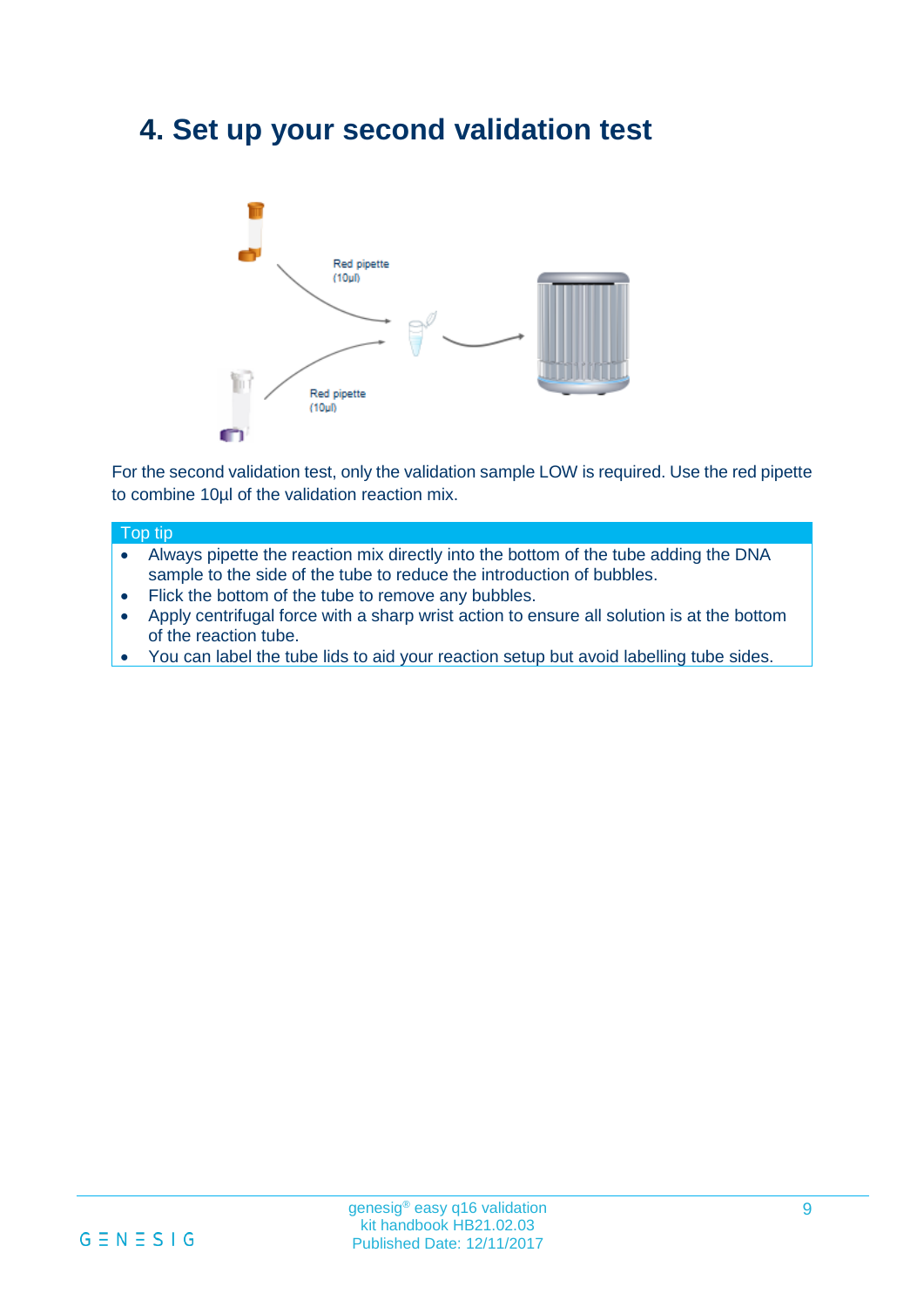### **4. Set up your second validation test**



For the second validation test, only the validation sample LOW is required. Use the red pipette to combine 10µl of the validation reaction mix.

#### Top tip

- Always pipette the reaction mix directly into the bottom of the tube adding the DNA sample to the side of the tube to reduce the introduction of bubbles.
- Flick the bottom of the tube to remove any bubbles.
- Apply centrifugal force with a sharp wrist action to ensure all solution is at the bottom of the reaction tube.
- You can label the tube lids to aid your reaction setup but avoid labelling tube sides.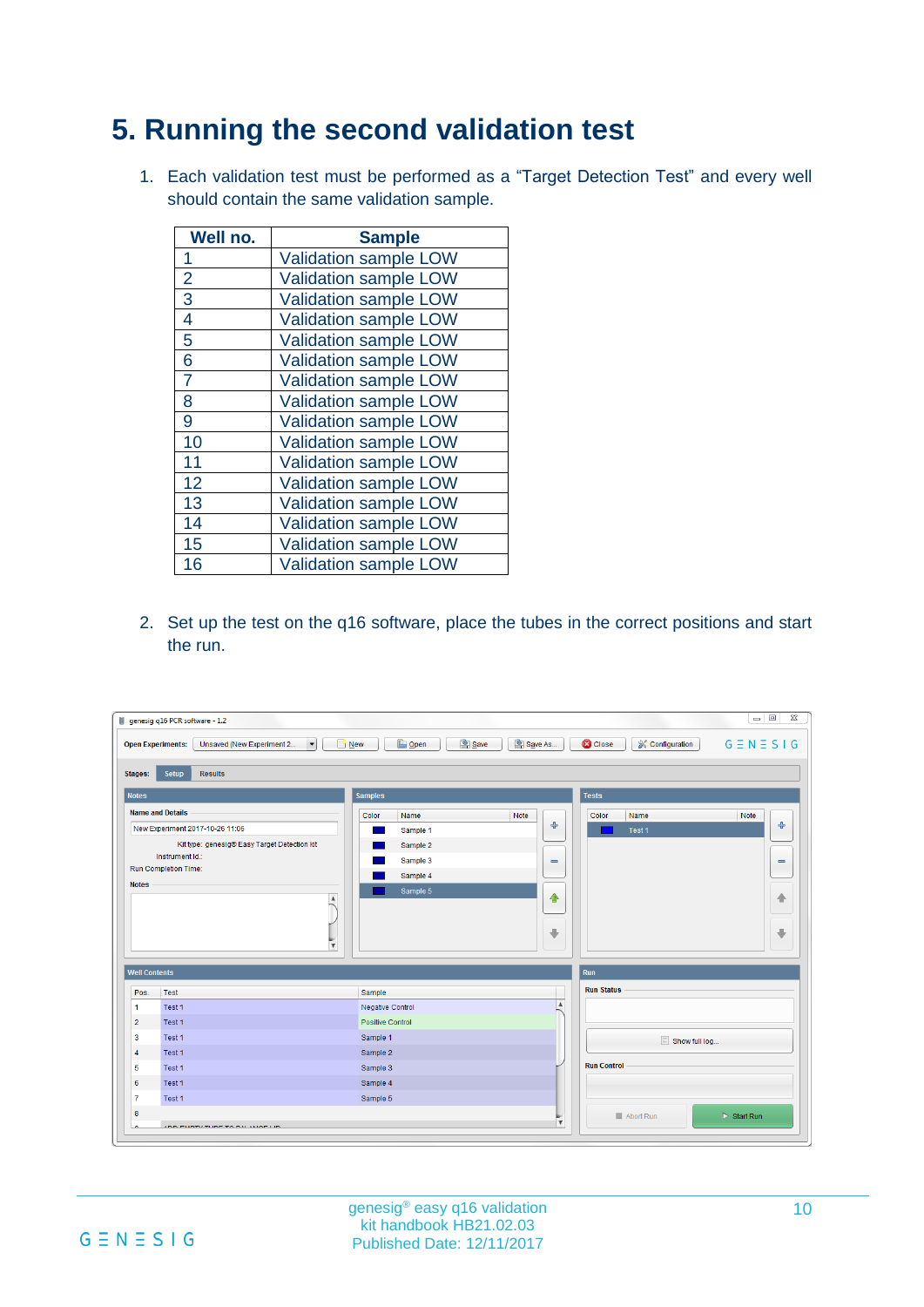### **5. Running the second validation test**

1. Each validation test must be performed as a "Target Detection Test" and every well should contain the same validation sample.

| Well no.       | <b>Sample</b>                |
|----------------|------------------------------|
| 1              | <b>Validation sample LOW</b> |
| $\overline{2}$ | <b>Validation sample LOW</b> |
| 3              | <b>Validation sample LOW</b> |
| 4              | <b>Validation sample LOW</b> |
| 5              | Validation sample LOW        |
| 6              | <b>Validation sample LOW</b> |
| $\overline{7}$ | <b>Validation sample LOW</b> |
| 8              | Validation sample LOW        |
| 9              | <b>Validation sample LOW</b> |
| 10             | <b>Validation sample LOW</b> |
| 11             | <b>Validation sample LOW</b> |
| 12             | <b>Validation sample LOW</b> |
| 13             | <b>Validation sample LOW</b> |
| 14             | <b>Validation sample LOW</b> |
| 15             | <b>Validation sample LOW</b> |
| 16             | <b>Validation sample LOW</b> |

2. Set up the test on the q16 software, place the tubes in the correct positions and start the run.

|                      | $\overline{\phantom{a}}$<br>Unsaved (New Experiment 2<br><b>Open Experiments:</b> | <b>B</b> Open<br>Save<br>$\Box$ New | Save As                      | <b>C</b> Close<br>& Configuration | $G \equiv N \equiv S \mid G$ |
|----------------------|-----------------------------------------------------------------------------------|-------------------------------------|------------------------------|-----------------------------------|------------------------------|
| <b>Stages:</b>       | <b>Results</b><br><b>Setup</b>                                                    |                                     |                              |                                   |                              |
| <b>Notes</b>         |                                                                                   | <b>Samples</b>                      |                              | <b>Tests</b>                      |                              |
|                      | <b>Name and Details</b>                                                           | Color<br>Name                       | Note                         | Color<br>Name                     | Note                         |
|                      | New Experiment 2017-10-26 11:06                                                   | Sample 1                            | 常                            | Test 1                            | $\div$                       |
|                      | Kit type: genesig® Easy Target Detection kit                                      | Sample 2                            |                              |                                   |                              |
|                      | Instrument Id.:                                                                   | Sample 3                            | $\qquad \qquad \blacksquare$ |                                   | $\qquad \qquad \blacksquare$ |
|                      | Run Completion Time:                                                              | Sample 4                            |                              |                                   |                              |
| <b>Notes</b>         | $\blacktriangle$                                                                  | Sample 5                            | €                            |                                   | 4                            |
|                      | $\overline{\mathbf{v}}$                                                           |                                     | $\oplus$                     |                                   | d                            |
| <b>Well Contents</b> |                                                                                   |                                     |                              | Run                               |                              |
| Pos.                 | Test                                                                              | Sample                              |                              | <b>Run Status</b>                 |                              |
| $\mathbf{1}$         | Test 1                                                                            | Negative Control                    | $\blacktriangle$             |                                   |                              |
| $\overline{2}$       | Test 1                                                                            | <b>Positive Control</b>             |                              |                                   |                              |
| $\overline{3}$       | Test 1                                                                            | Sample 1                            |                              | Show full log                     |                              |
| 4                    | Test 1                                                                            | Sample 2                            |                              |                                   |                              |
| 5                    | Test 1                                                                            | Sample 3                            |                              | <b>Run Control</b>                |                              |
| 6                    | Test 1                                                                            | Sample 4                            |                              |                                   |                              |
|                      | Test 1                                                                            | Sample 5                            |                              |                                   |                              |
| $\overline{7}$       |                                                                                   |                                     |                              |                                   |                              |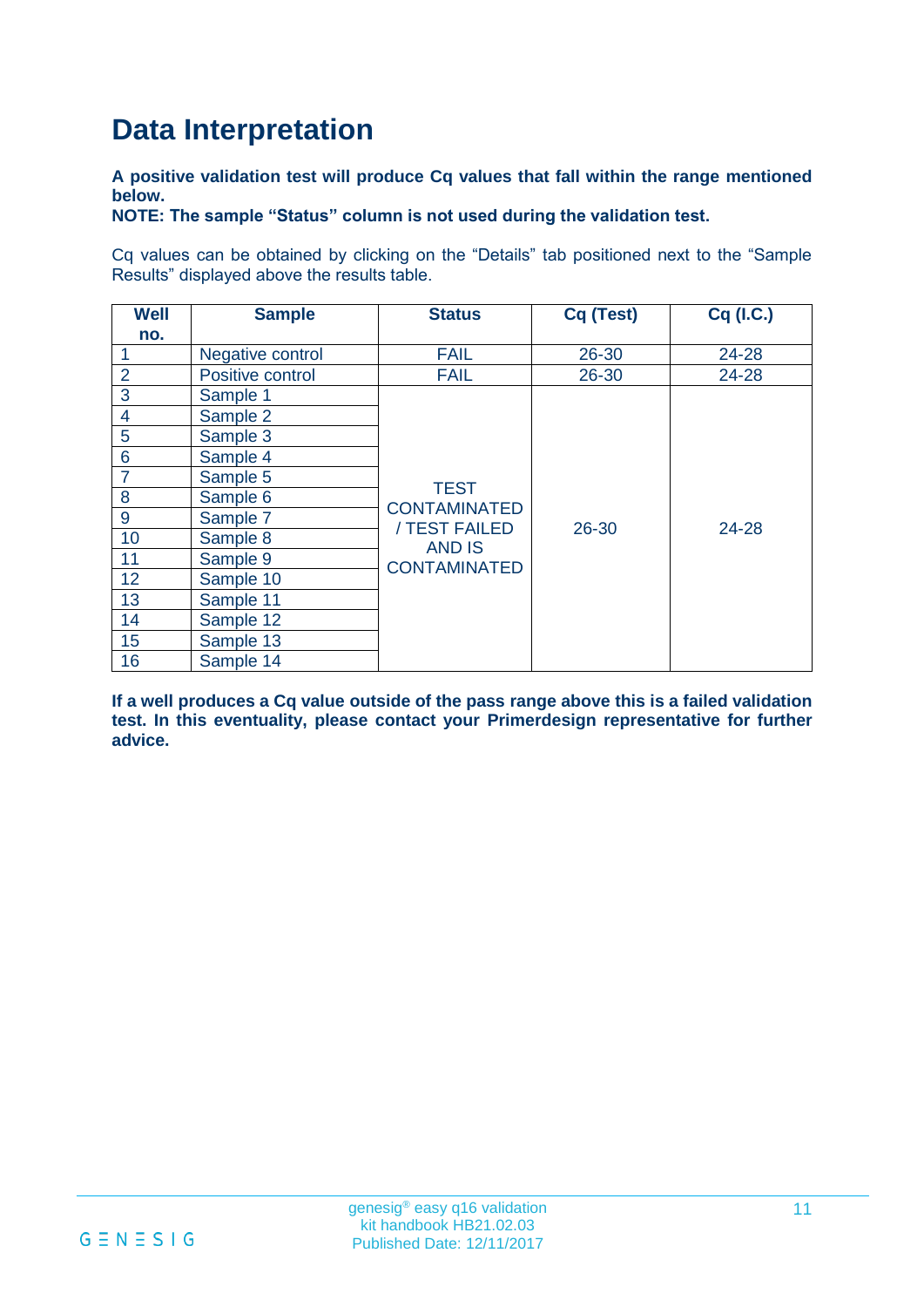# **Data Interpretation**

**A positive validation test will produce Cq values that fall within the range mentioned below.**

**NOTE: The sample "Status" column is not used during the validation test.**

Cq values can be obtained by clicking on the "Details" tab positioned next to the "Sample Results" displayed above the results table.

| <b>Well</b>    | <b>Sample</b>    | <b>Status</b>                                                                               | Cq (Test) | Cq (I.C.) |
|----------------|------------------|---------------------------------------------------------------------------------------------|-----------|-----------|
| no.            |                  |                                                                                             |           |           |
|                | Negative control | <b>FAIL</b>                                                                                 | 26-30     | 24-28     |
| $\overline{2}$ | Positive control | <b>FAIL</b>                                                                                 | 26-30     | 24-28     |
| 3              | Sample 1         |                                                                                             |           |           |
| 4              | Sample 2         |                                                                                             |           |           |
| 5              | Sample 3         |                                                                                             | 26-30     |           |
| 6              | Sample 4         |                                                                                             |           |           |
| $\overline{7}$ | Sample 5         |                                                                                             |           |           |
| 8              | Sample 6         | <b>TEST</b><br><b>CONTAMINATED</b><br>/ TEST FAILED<br><b>AND IS</b><br><b>CONTAMINATED</b> |           | 24-28     |
| 9              | Sample 7         |                                                                                             |           |           |
| 10             | Sample 8         |                                                                                             |           |           |
| 11             | Sample 9         |                                                                                             |           |           |
| 12             | Sample 10        |                                                                                             |           |           |
| 13             | Sample 11        |                                                                                             |           |           |
| 14             | Sample 12        |                                                                                             |           |           |
| 15             | Sample 13        |                                                                                             |           |           |
| 16             | Sample 14        |                                                                                             |           |           |

**If a well produces a Cq value outside of the pass range above this is a failed validation test. In this eventuality, please contact your Primerdesign representative for further advice.**